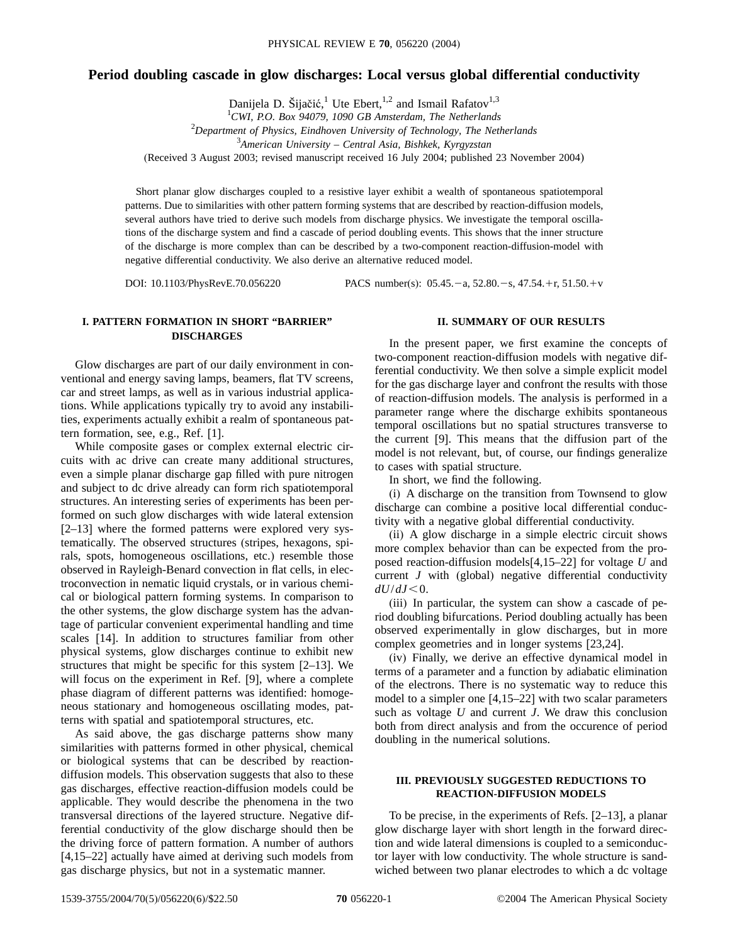# **Period doubling cascade in glow discharges: Local versus global differential conductivity**

Danijela D. Šijačić,<sup>1</sup> Ute Ebert,<sup>1,2</sup> and Ismail Rafatov<sup>1,3</sup>

*CWI, P.O. Box 94079, 1090 GB Amsterdam, The Netherlands Department of Physics, Eindhoven University of Technology, The Netherlands American University – Central Asia, Bishkek, Kyrgyzstan* (Received 3 August 2003; revised manuscript received 16 July 2004; published 23 November 2004)

Short planar glow discharges coupled to a resistive layer exhibit a wealth of spontaneous spatiotemporal patterns. Due to similarities with other pattern forming systems that are described by reaction-diffusion models, several authors have tried to derive such models from discharge physics. We investigate the temporal oscillations of the discharge system and find a cascade of period doubling events. This shows that the inner structure of the discharge is more complex than can be described by a two-component reaction-diffusion-model with negative differential conductivity. We also derive an alternative reduced model.

DOI: 10.1103/PhysRevE.70.056220 PACS number(s): 05.45. - a, 52.80. - s, 47.54. + r, 51.50. + v

## **I. PATTERN FORMATION IN SHORT "BARRIER" DISCHARGES**

Glow discharges are part of our daily environment in conventional and energy saving lamps, beamers, flat TV screens, car and street lamps, as well as in various industrial applications. While applications typically try to avoid any instabilities, experiments actually exhibit a realm of spontaneous pattern formation, see, e.g., Ref. [1].

While composite gases or complex external electric circuits with ac drive can create many additional structures, even a simple planar discharge gap filled with pure nitrogen and subject to dc drive already can form rich spatiotemporal structures. An interesting series of experiments has been performed on such glow discharges with wide lateral extension [2–13] where the formed patterns were explored very systematically. The observed structures (stripes, hexagons, spirals, spots, homogeneous oscillations, etc.) resemble those observed in Rayleigh-Benard convection in flat cells, in electroconvection in nematic liquid crystals, or in various chemical or biological pattern forming systems. In comparison to the other systems, the glow discharge system has the advantage of particular convenient experimental handling and time scales [14]. In addition to structures familiar from other physical systems, glow discharges continue to exhibit new structures that might be specific for this system [2–13]. We will focus on the experiment in Ref. [9], where a complete phase diagram of different patterns was identified: homogeneous stationary and homogeneous oscillating modes, patterns with spatial and spatiotemporal structures, etc.

As said above, the gas discharge patterns show many similarities with patterns formed in other physical, chemical or biological systems that can be described by reactiondiffusion models. This observation suggests that also to these gas discharges, effective reaction-diffusion models could be applicable. They would describe the phenomena in the two transversal directions of the layered structure. Negative differential conductivity of the glow discharge should then be the driving force of pattern formation. A number of authors [4,15–22] actually have aimed at deriving such models from gas discharge physics, but not in a systematic manner.

### **II. SUMMARY OF OUR RESULTS**

In the present paper, we first examine the concepts of two-component reaction-diffusion models with negative differential conductivity. We then solve a simple explicit model for the gas discharge layer and confront the results with those of reaction-diffusion models. The analysis is performed in a parameter range where the discharge exhibits spontaneous temporal oscillations but no spatial structures transverse to the current [9]. This means that the diffusion part of the model is not relevant, but, of course, our findings generalize to cases with spatial structure.

In short, we find the following.

(i) A discharge on the transition from Townsend to glow discharge can combine a positive local differential conductivity with a negative global differential conductivity.

(ii) A glow discharge in a simple electric circuit shows more complex behavior than can be expected from the proposed reaction-diffusion models[4,15–22] for voltage *U* and current *J* with (global) negative differential conductivity  $dU/dJ < 0$ .

(iii) In particular, the system can show a cascade of period doubling bifurcations. Period doubling actually has been observed experimentally in glow discharges, but in more complex geometries and in longer systems [23,24].

(iv) Finally, we derive an effective dynamical model in terms of a parameter and a function by adiabatic elimination of the electrons. There is no systematic way to reduce this model to a simpler one [4,15–22] with two scalar parameters such as voltage *U* and current *J*. We draw this conclusion both from direct analysis and from the occurence of period doubling in the numerical solutions.

## **III. PREVIOUSLY SUGGESTED REDUCTIONS TO REACTION-DIFFUSION MODELS**

To be precise, in the experiments of Refs. [2–13], a planar glow discharge layer with short length in the forward direction and wide lateral dimensions is coupled to a semiconductor layer with low conductivity. The whole structure is sandwiched between two planar electrodes to which a dc voltage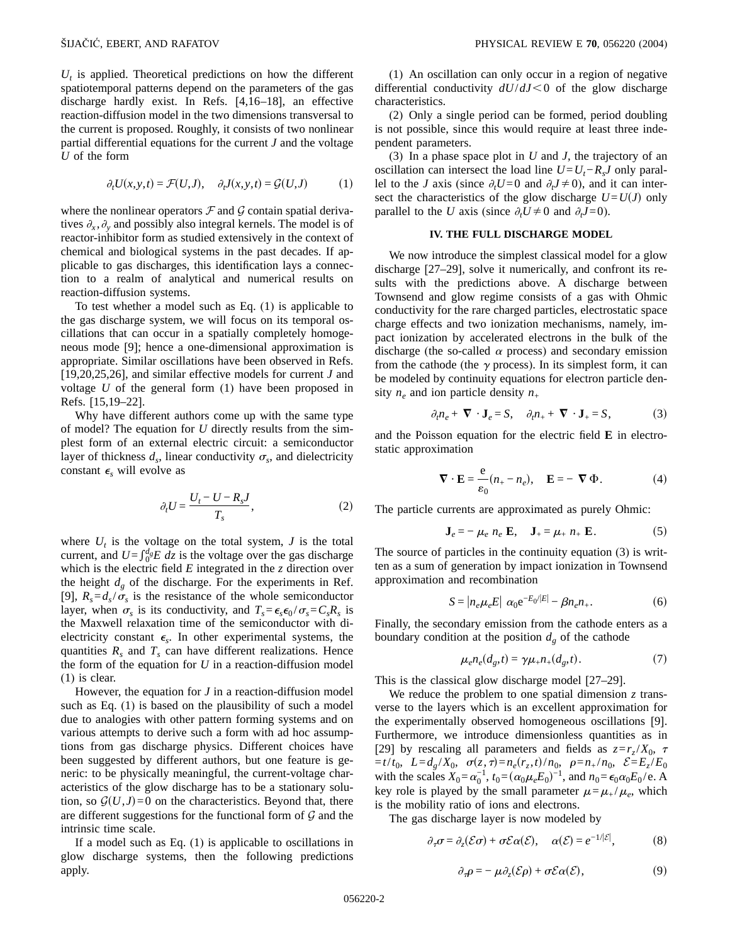$U_t$  is applied. Theoretical predictions on how the different spatiotemporal patterns depend on the parameters of the gas discharge hardly exist. In Refs. [4,16–18], an effective reaction-diffusion model in the two dimensions transversal to the current is proposed. Roughly, it consists of two nonlinear partial differential equations for the current *J* and the voltage *U* of the form

$$
\partial_t U(x, y, t) = \mathcal{F}(U, J), \quad \partial_t J(x, y, t) = \mathcal{G}(U, J) \tag{1}
$$

where the nonlinear operators  $\mathcal F$  and  $\mathcal G$  contain spatial derivatives  $\partial_x$ ,  $\partial_y$  and possibly also integral kernels. The model is of reactor-inhibitor form as studied extensively in the context of chemical and biological systems in the past decades. If applicable to gas discharges, this identification lays a connection to a realm of analytical and numerical results on reaction-diffusion systems.

To test whether a model such as Eq. (1) is applicable to the gas discharge system, we will focus on its temporal oscillations that can occur in a spatially completely homogeneous mode [9]; hence a one-dimensional approximation is appropriate. Similar oscillations have been observed in Refs. [19,20,25,26], and similar effective models for current *J* and voltage *U* of the general form (1) have been proposed in Refs. [15,19–22].

Why have different authors come up with the same type of model? The equation for *U* directly results from the simplest form of an external electric circuit: a semiconductor layer of thickness  $d_s$ , linear conductivity  $\sigma_s$ , and dielectricity constant  $\epsilon_s$  will evolve as

$$
\partial_t U = \frac{U_t - U - R_s J}{T_s},\tag{2}
$$

where  $U_t$  is the voltage on the total system,  $J$  is the total current, and  $U = \int_0^d E \, dz$  is the voltage over the gas discharge which is the electric field *E* integrated in the *z* direction over the height  $d_g$  of the discharge. For the experiments in Ref. [9],  $R_s = d_s / \sigma_s$  is the resistance of the whole semiconductor layer, when  $\sigma_s$  is its conductivity, and  $T_s = \epsilon_s \epsilon_0 / \sigma_s = C_s R_s$  is the Maxwell relaxation time of the semiconductor with dielectricity constant  $\epsilon_s$ . In other experimental systems, the quantities  $R_s$  and  $T_s$  can have different realizations. Hence the form of the equation for *U* in a reaction-diffusion model (1) is clear.

However, the equation for *J* in a reaction-diffusion model such as Eq. (1) is based on the plausibility of such a model due to analogies with other pattern forming systems and on various attempts to derive such a form with ad hoc assumptions from gas discharge physics. Different choices have been suggested by different authors, but one feature is generic: to be physically meaningful, the current-voltage characteristics of the glow discharge has to be a stationary solution, so  $G(U, J) = 0$  on the characteristics. Beyond that, there are different suggestions for the functional form of  $G$  and the intrinsic time scale.

If a model such as Eq. (1) is applicable to oscillations in glow discharge systems, then the following predictions apply.

(1) An oscillation can only occur in a region of negative differential conductivity  $dU/dJ \leq 0$  of the glow discharge characteristics.

(2) Only a single period can be formed, period doubling is not possible, since this would require at least three independent parameters.

(3) In a phase space plot in *U* and *J*, the trajectory of an oscillation can intersect the load line  $U = U_t - R_s J$  only parallel to the *J* axis (since  $\partial_t U = 0$  and  $\partial_t J \neq 0$ ), and it can intersect the characteristics of the glow discharge  $U = U(J)$  only parallel to the *U* axis (since  $\partial_t U \neq 0$  and  $\partial_t J = 0$ ).

#### **IV. THE FULL DISCHARGE MODEL**

We now introduce the simplest classical model for a glow discharge [27–29], solve it numerically, and confront its results with the predictions above. A discharge between Townsend and glow regime consists of a gas with Ohmic conductivity for the rare charged particles, electrostatic space charge effects and two ionization mechanisms, namely, impact ionization by accelerated electrons in the bulk of the discharge (the so-called  $\alpha$  process) and secondary emission from the cathode (the  $\gamma$  process). In its simplest form, it can be modeled by continuity equations for electron particle density  $n_e$  and ion particle density  $n_+$ 

$$
\partial_t n_e + \nabla \cdot \mathbf{J}_e = S, \quad \partial_t n_+ + \nabla \cdot \mathbf{J}_+ = S,\tag{3}
$$

and the Poisson equation for the electric field **E** in electrostatic approximation

$$
\nabla \cdot \mathbf{E} = \frac{e}{\varepsilon_0} (n_+ - n_e), \quad \mathbf{E} = -\nabla \Phi.
$$
 (4)

The particle currents are approximated as purely Ohmic:

$$
\mathbf{J}_e = -\mu_e \ n_e \ \mathbf{E}, \quad \mathbf{J}_+ = \mu_+ \ n_+ \ \mathbf{E}. \tag{5}
$$

The source of particles in the continuity equation (3) is written as a sum of generation by impact ionization in Townsend approximation and recombination

$$
S = |n_e \mu_e E| \alpha_0 e^{-E_0/|E|} - \beta n_e n_+.
$$
 (6)

Finally, the secondary emission from the cathode enters as a boundary condition at the position  $d_g$  of the cathode

$$
\mu_e n_e(d_g, t) = \gamma \mu_+ n_+(d_g, t). \tag{7}
$$

This is the classical glow discharge model [27–29].

We reduce the problem to one spatial dimension *z* transverse to the layers which is an excellent approximation for the experimentally observed homogeneous oscillations [9]. Furthermore, we introduce dimensionless quantities as in [29] by rescaling all parameters and fields as  $z = r_z/X_0$ ,  $\tau$  $= t/t_0$ ,  $L = d_g/X_0$ ,  $\sigma(z, \tau) = n_e(r_z, t)/n_0$ ,  $\rho = n_{+}/n_0$ ,  $\mathcal{E} = E_z/E_0$ with the scales  $X_0 = \alpha_0^{-1}$ ,  $t_0 = (\alpha_0 \mu_e E_0)^{-1}$ , and  $n_0 = \epsilon_0 \alpha_0 E_0 / e$ . A key role is played by the small parameter  $\mu = \mu_+ / \mu_e$ , which is the mobility ratio of ions and electrons.

The gas discharge layer is now modeled by

$$
\partial_{\tau}\sigma = \partial_{z}(\mathcal{E}\sigma) + \sigma \mathcal{E}\alpha(\mathcal{E}), \quad \alpha(\mathcal{E}) = e^{-1/|\mathcal{E}|}, \tag{8}
$$

$$
\partial_{\tau}\rho = -\mu \partial_{z}(\mathcal{E}\rho) + \sigma \mathcal{E}\alpha(\mathcal{E}), \qquad (9)
$$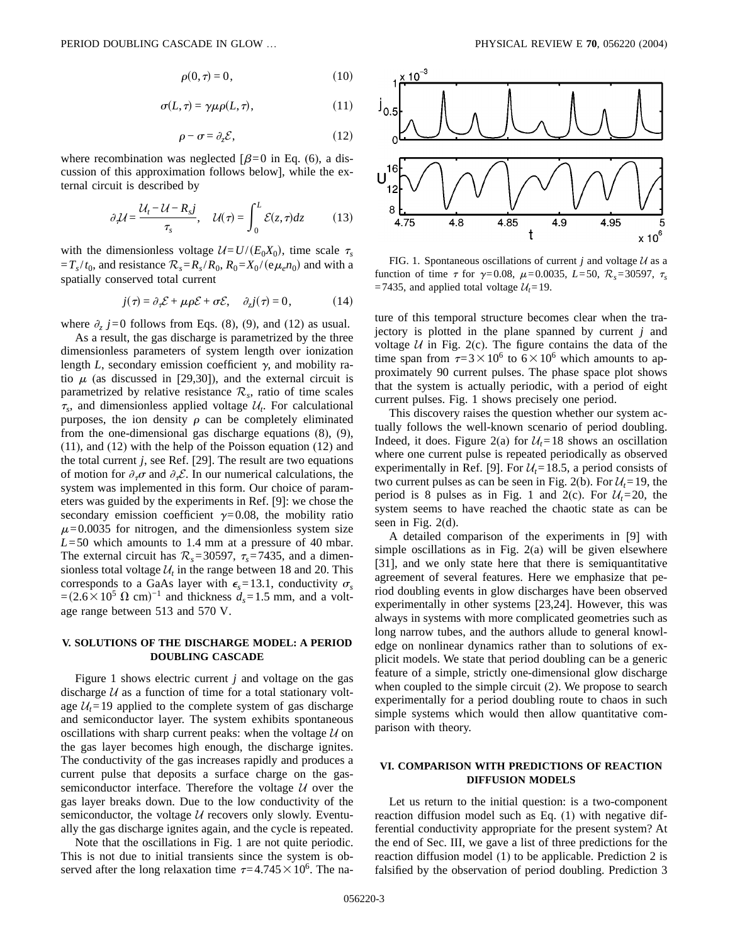$$
\rho(0,\tau) = 0,\tag{10}
$$

$$
\sigma(L,\tau) = \gamma \mu \rho(L,\tau), \qquad (11)
$$

$$
\rho - \sigma = \partial_z \mathcal{E},\tag{12}
$$

where recombination was neglected  $\beta=0$  in Eq. (6), a discussion of this approximation follows below], while the external circuit is described by

$$
\partial_{\tau} \mathcal{U} = \frac{\mathcal{U}_t - \mathcal{U} - R_s j}{\tau_s}, \quad \mathcal{U}(\tau) = \int_0^L \mathcal{E}(z, \tau) dz \tag{13}
$$

with the dimensionless voltage  $U=U/(E_0X_0)$ , time scale  $\tau_s$  $=T_s/t_0$ , and resistance  $\mathcal{R}_s = R_s/R_0$ ,  $R_0 = X_0/(e\mu_e n_0)$  and with a spatially conserved total current

$$
j(\tau) = \partial_{\tau} \mathcal{E} + \mu \rho \mathcal{E} + \sigma \mathcal{E}, \quad \partial_{z} j(\tau) = 0, \tag{14}
$$

where  $\partial_z$  *j*=0 follows from Eqs. (8), (9), and (12) as usual.

As a result, the gas discharge is parametrized by the three dimensionless parameters of system length over ionization length  $L$ , secondary emission coefficient  $\gamma$ , and mobility ratio  $\mu$  (as discussed in [29,30]), and the external circuit is parametrized by relative resistance  $\mathcal{R}_s$ , ratio of time scales  $\tau_s$ , and dimensionless applied voltage  $\mathcal{U}_t$ . For calculational purposes, the ion density  $\rho$  can be completely eliminated from the one-dimensional gas discharge equations (8), (9), (11), and (12) with the help of the Poisson equation (12) and the total current *j*, see Ref. [29]. The result are two equations of motion for  $\partial_{\tau}\sigma$  and  $\partial_{\tau}\mathcal{E}$ . In our numerical calculations, the system was implemented in this form. Our choice of parameters was guided by the experiments in Ref. [9]: we chose the secondary emission coefficient  $\gamma=0.08$ , the mobility ratio  $\mu$ =0.0035 for nitrogen, and the dimensionless system size *L*=50 which amounts to 1.4 mm at a pressure of 40 mbar. The external circuit has  $\mathcal{R}_s = 30597$ ,  $\tau_s = 7435$ , and a dimensionless total voltage  $\mathcal{U}_t$  in the range between 18 and 20. This corresponds to a GaAs layer with  $\epsilon_s = 13.1$ , conductivity  $\sigma_s$  $=(2.6 \times 10^5 \Omega \text{ cm})^{-1}$  and thickness  $d_s = 1.5 \text{ mm}$ , and a voltage range between 513 and 570 V.

## **V. SOLUTIONS OF THE DISCHARGE MODEL: A PERIOD DOUBLING CASCADE**

Figure 1 shows electric current *j* and voltage on the gas discharge  $U$  as a function of time for a total stationary voltage  $U_t$ =19 applied to the complete system of gas discharge and semiconductor layer. The system exhibits spontaneous oscillations with sharp current peaks: when the voltage  $U$  on the gas layer becomes high enough, the discharge ignites. The conductivity of the gas increases rapidly and produces a current pulse that deposits a surface charge on the gassemiconductor interface. Therefore the voltage  $U$  over the gas layer breaks down. Due to the low conductivity of the semiconductor, the voltage  $U$  recovers only slowly. Eventually the gas discharge ignites again, and the cycle is repeated.

Note that the oscillations in Fig. 1 are not quite periodic. This is not due to initial transients since the system is observed after the long relaxation time  $\tau=4.745\times10^6$ . The na-



FIG. 1. Spontaneous oscillations of current *j* and voltage  $U$  as a function of time  $\tau$  for  $\gamma = 0.08$ ,  $\mu = 0.0035$ ,  $L = 50$ ,  $\mathcal{R}_s = 30597$ ,  $\tau_s$ =7435, and applied total voltage  $U_t$ =19.

ture of this temporal structure becomes clear when the trajectory is plotted in the plane spanned by current *j* and voltage  $U$  in Fig. 2(c). The figure contains the data of the time span from  $\tau=3\times10^6$  to  $6\times10^6$  which amounts to approximately 90 current pulses. The phase space plot shows that the system is actually periodic, with a period of eight current pulses. Fig. 1 shows precisely one period.

This discovery raises the question whether our system actually follows the well-known scenario of period doubling. Indeed, it does. Figure 2(a) for  $\mathcal{U}_t = 18$  shows an oscillation where one current pulse is repeated periodically as observed experimentally in Ref. [9]. For  $\mathcal{U}_t = 18.5$ , a period consists of two current pulses as can be seen in Fig. 2(b). For  $\mathcal{U}_t = 19$ , the period is 8 pulses as in Fig. 1 and 2(c). For  $U_t$ =20, the system seems to have reached the chaotic state as can be seen in Fig. 2(d).

A detailed comparison of the experiments in [9] with simple oscillations as in Fig. 2(a) will be given elsewhere [31], and we only state here that there is semiquantitative agreement of several features. Here we emphasize that period doubling events in glow discharges have been observed experimentally in other systems [23,24]. However, this was always in systems with more complicated geometries such as long narrow tubes, and the authors allude to general knowledge on nonlinear dynamics rather than to solutions of explicit models. We state that period doubling can be a generic feature of a simple, strictly one-dimensional glow discharge when coupled to the simple circuit (2). We propose to search experimentally for a period doubling route to chaos in such simple systems which would then allow quantitative comparison with theory.

# **VI. COMPARISON WITH PREDICTIONS OF REACTION DIFFUSION MODELS**

Let us return to the initial question: is a two-component reaction diffusion model such as Eq. (1) with negative differential conductivity appropriate for the present system? At the end of Sec. III, we gave a list of three predictions for the reaction diffusion model (1) to be applicable. Prediction 2 is falsified by the observation of period doubling. Prediction 3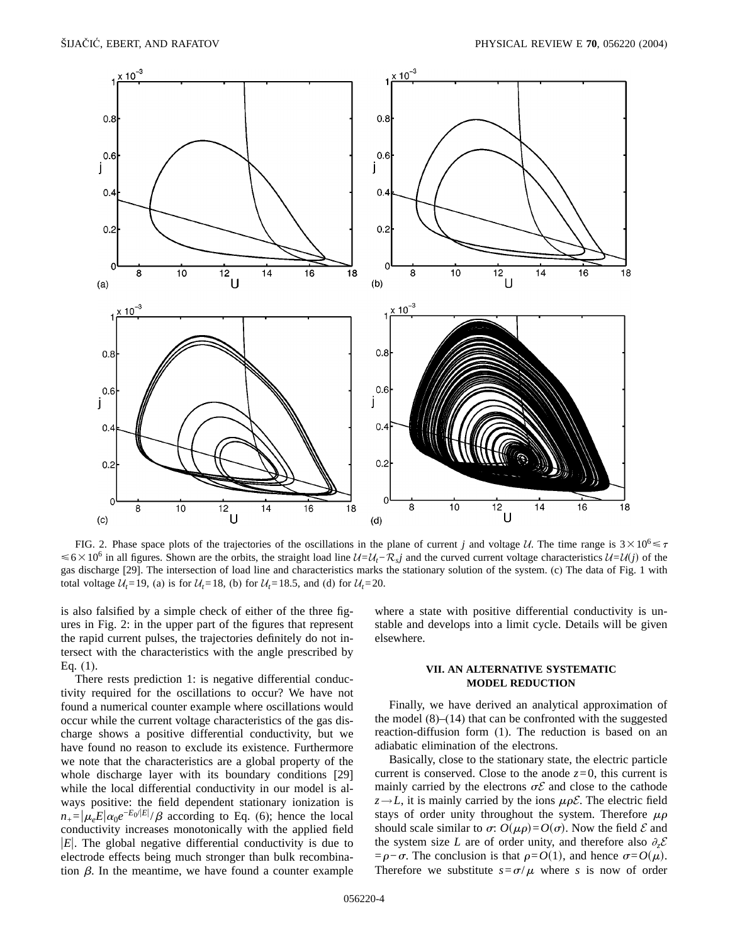

FIG. 2. Phase space plots of the trajectories of the oscillations in the plane of current *j* and voltage U. The time range is  $3 \times 10^6 \le \tau$ ≤6×10<sup>6</sup> in all figures. Shown are the orbits, the straight load line  $U=U_t-\mathcal{R}_s$ *j* and the curved current voltage characteristics  $U=U(j)$  of the gas discharge [29]. The intersection of load line and characteristics marks the stationary solution of the system. (c) The data of Fig. 1 with total voltage  $U_t$ =19, (a) is for  $U_t$ =18, (b) for  $U_t$ =18.5, and (d) for  $U_t$ =20.

is also falsified by a simple check of either of the three figures in Fig. 2: in the upper part of the figures that represent the rapid current pulses, the trajectories definitely do not intersect with the characteristics with the angle prescribed by Eq. (1).

There rests prediction 1: is negative differential conductivity required for the oscillations to occur? We have not found a numerical counter example where oscillations would occur while the current voltage characteristics of the gas discharge shows a positive differential conductivity, but we have found no reason to exclude its existence. Furthermore we note that the characteristics are a global property of the whole discharge layer with its boundary conditions [29] while the local differential conductivity in our model is always positive: the field dependent stationary ionization is  $n_{+} = |\mu_{e}E| \alpha_0 e^{-E_0/|E|}/\beta$  according to Eq. (6); hence the local conductivity increases monotonically with the applied field  $|E|$ . The global negative differential conductivity is due to electrode effects being much stronger than bulk recombination  $\beta$ . In the meantime, we have found a counter example where a state with positive differential conductivity is unstable and develops into a limit cycle. Details will be given elsewhere.

#### **VII. AN ALTERNATIVE SYSTEMATIC MODEL REDUCTION**

Finally, we have derived an analytical approximation of the model (8)–(14) that can be confronted with the suggested reaction-diffusion form (1). The reduction is based on an adiabatic elimination of the electrons.

Basically, close to the stationary state, the electric particle current is conserved. Close to the anode  $z=0$ , this current is mainly carried by the electrons  $\sigma \mathcal{E}$  and close to the cathode  $z \rightarrow L$ , it is mainly carried by the ions  $\mu \rho \mathcal{E}$ . The electric field stays of order unity throughout the system. Therefore  $\mu \rho$ should scale similar to  $\sigma$ :  $O(\mu \rho) = O(\sigma)$ . Now the field  $\mathcal E$  and the system size *L* are of order unity, and therefore also  $\partial_z \mathcal{E}$  $= \rho - \sigma$ . The conclusion is that  $\rho = O(1)$ , and hence  $\sigma = O(\mu)$ . Therefore we substitute  $s = \frac{\sigma}{\mu}$  where *s* is now of order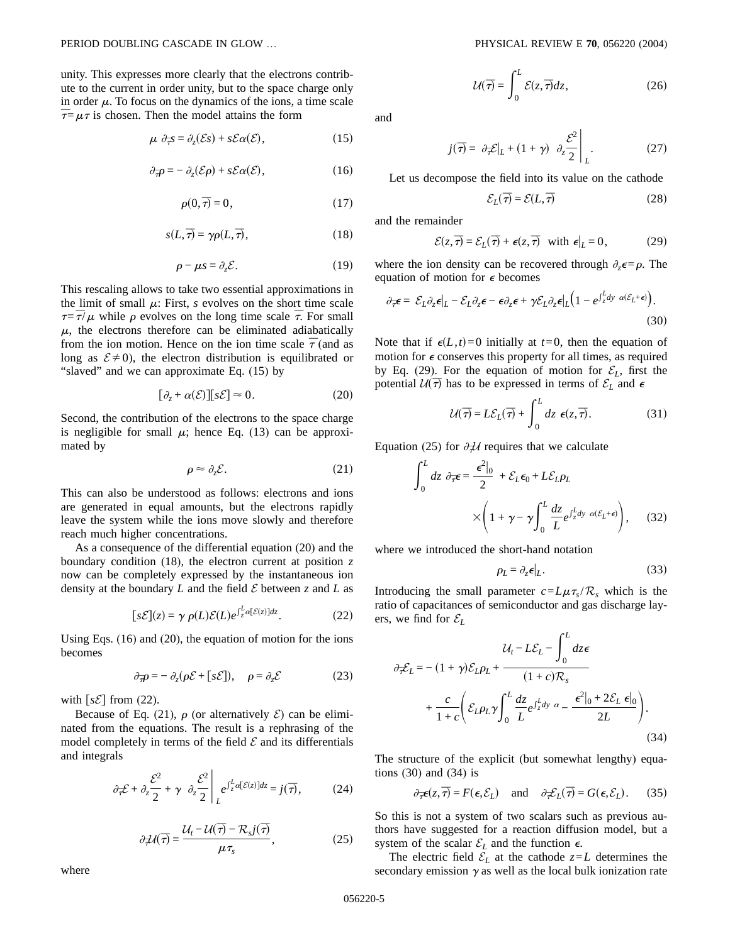unity. This expresses more clearly that the electrons contribute to the current in order unity, but to the space charge only in order  $\mu$ . To focus on the dynamics of the ions, a time scale  $\bar{\tau} = \mu \tau$  is chosen. Then the model attains the form

$$
\mu \partial_{\overline{\tau}} s = \partial_z(\mathcal{E}s) + s\mathcal{E}\alpha(\mathcal{E}), \qquad (15)
$$

$$
\partial_{\overline{\tau}} \rho = - \partial_z(\mathcal{E}\rho) + s\mathcal{E}\alpha(\mathcal{E}), \qquad (16)
$$

$$
\rho(0,\overline{\tau})=0,\t(17)
$$

$$
s(L,\overline{\tau}) = \gamma \rho(L,\overline{\tau}), \qquad (18)
$$

$$
\rho - \mu s = \partial_z \mathcal{E}.\tag{19}
$$

This rescaling allows to take two essential approximations in the limit of small  $\mu$ : First, *s* evolves on the short time scale  $\tau = \bar{\tau}/\mu$  while  $\rho$  evolves on the long time scale  $\bar{\tau}$ . For small  $\mu$ , the electrons therefore can be eliminated adiabatically from the ion motion. Hence on the ion time scale  $\bar{\tau}$  (and as long as  $\mathcal{E} \neq 0$ ), the electron distribution is equilibrated or "slaved" and we can approximate Eq. (15) by

$$
[\partial_z + \alpha(\mathcal{E})][s\mathcal{E}] \approx 0. \tag{20}
$$

Second, the contribution of the electrons to the space charge is negligible for small  $\mu$ ; hence Eq. (13) can be approximated by

$$
\rho \approx \partial_z \mathcal{E}.\tag{21}
$$

This can also be understood as follows: electrons and ions are generated in equal amounts, but the electrons rapidly leave the system while the ions move slowly and therefore reach much higher concentrations.

As a consequence of the differential equation (20) and the boundary condition (18), the electron current at position *z* now can be completely expressed by the instantaneous ion density at the boundary  $L$  and the field  $\mathcal E$  between  $\zeta$  and  $L$  as

$$
[s\mathcal{E}](z) = \gamma \, \rho(L)\mathcal{E}(L)e^{\int_z^L \alpha[\mathcal{E}(z)]dz}.\tag{22}
$$

Using Eqs. (16) and (20), the equation of motion for the ions becomes

$$
\partial_{\overline{\tau}} \rho = - \partial_z (\rho \mathcal{E} + [s\mathcal{E}]), \quad \rho = \partial_z \mathcal{E}
$$
 (23)

with  $[s\mathcal{E}]$  from (22).

Because of Eq. (21),  $\rho$  (or alternatively  $\mathcal{E}$ ) can be eliminated from the equations. The result is a rephrasing of the model completely in terms of the field  $\mathcal E$  and its differentials and integrals

$$
\partial_{\overline{\tau}} \mathcal{E} + \partial_z \frac{\mathcal{E}^2}{2} + \gamma \partial_z \frac{\mathcal{E}^2}{2} \bigg|_{L} e^{\int_z^L \alpha[\mathcal{E}(z)]dz} = j(\overline{\tau}), \tag{24}
$$

$$
\partial_{\tau} \mathcal{U}(\overline{\tau}) = \frac{\mathcal{U}_t - \mathcal{U}(\overline{\tau}) - \mathcal{R}_s j(\overline{\tau})}{\mu \tau_s},\tag{25}
$$

$$
\mathcal{U}(\overline{\tau}) = \int_0^L \mathcal{E}(z, \overline{\tau}) dz,
$$
 (26)

and

$$
j(\overline{\tau}) = \partial_{\overline{\tau}} \mathcal{E}|_{L} + (1 + \gamma) \partial_{z} \frac{\mathcal{E}^{2}}{2} \Bigg|_{L}.
$$
 (27)

Let us decompose the field into its value on the cathode

$$
\mathcal{E}_L(\overline{\tau}) = \mathcal{E}(L, \overline{\tau})
$$
 (28)

and the remainder

$$
\mathcal{E}(z,\overline{\tau}) = \mathcal{E}_L(\overline{\tau}) + \epsilon(z,\overline{\tau}) \quad \text{with } \epsilon|_L = 0,\tag{29}
$$

where the ion density can be recovered through  $\partial_z \epsilon = \rho$ . The equation of motion for  $\epsilon$  becomes

$$
\partial_{\overline{\tau}} \epsilon = \mathcal{E}_L \partial_z \epsilon |_L - \mathcal{E}_L \partial_z \epsilon - \epsilon \partial_z \epsilon + \gamma \mathcal{E}_L \partial_z \epsilon |_L \Big( 1 - e^{\int_z^L dy} \alpha(\mathcal{E}_L + \epsilon) \Big). \tag{30}
$$

Note that if  $\epsilon(L,t)=0$  initially at  $t=0$ , then the equation of motion for  $\epsilon$  conserves this property for all times, as required by Eq. (29). For the equation of motion for  $\mathcal{E}_L$ , first the potential  $U(\overline{\tau})$  has to be expressed in terms of  $\mathcal{E}_L$  and  $\epsilon$ 

$$
\mathcal{U}(\overline{\tau}) = L\mathcal{E}_L(\overline{\tau}) + \int_0^L dz \ \epsilon(z, \overline{\tau}). \tag{31}
$$

Equation (25) for  $\partial \mathcal{H}$  requires that we calculate

$$
\int_0^L dz \, \partial_{\overline{\tau}} \epsilon = \frac{\epsilon^2|_0}{2} + \mathcal{E}_L \epsilon_0 + L \mathcal{E}_L \rho_L
$$

$$
\times \left(1 + \gamma - \gamma \int_0^L \frac{dz}{L} e^{\int_z^L dy \, \alpha(\mathcal{E}_L + \epsilon)} \right), \quad (32)
$$

where we introduced the short-hand notation

$$
\rho_L = \partial_z \boldsymbol{\epsilon}|_L. \tag{33}
$$

Introducing the small parameter  $c = L\mu\tau_s/R_s$  which is the ratio of capacitances of semiconductor and gas discharge layers, we find for  $\mathcal{E}_L$ 

$$
\partial_{\overline{z}} \mathcal{E}_L = -(1+\gamma)\mathcal{E}_L \rho_L + \frac{\mathcal{U}_t - L\mathcal{E}_L - \int_0^L dz \epsilon}{(1+c)\mathcal{R}_s} + \frac{c}{1+c} \left( \mathcal{E}_L \rho_L \gamma \int_0^L \frac{dz}{L} e^{\int_z^L dy} \alpha - \frac{\epsilon^2|_0 + 2\mathcal{E}_L \epsilon|_0}{2L} \right). \tag{34}
$$

The structure of the explicit (but somewhat lengthy) equations (30) and (34) is

$$
\partial_{\overline{\tau}} \epsilon(z, \overline{\tau}) = F(\epsilon, \mathcal{E}_L)
$$
 and  $\partial_{\overline{\tau}} \mathcal{E}_L(\overline{\tau}) = G(\epsilon, \mathcal{E}_L)$ . (35)

So this is not a system of two scalars such as previous authors have suggested for a reaction diffusion model, but a system of the scalar  $\mathcal{E}_L$  and the function  $\epsilon$ .

The electric field  $\mathcal{E}_L$  at the cathode  $z = L$  determines the secondary emission  $\gamma$  as well as the local bulk ionization rate

where